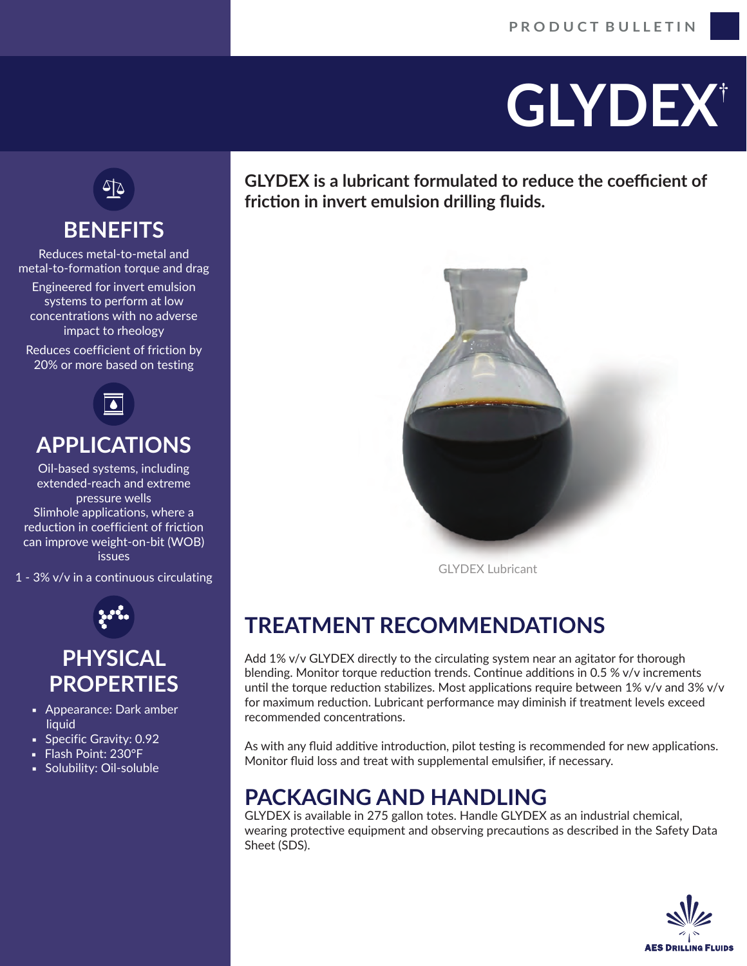# **GLYDEX**†



## **BENEFITS**

Reduces metal-to-metal and metal-to-formation torque and drag

Engineered for invert emulsion systems to perform at low concentrations with no adverse impact to rheology

Reduces coefficient of friction by 20% or more based on testing



### **APPLICATIONS**

Oil-based systems, including extended-reach and extreme pressure wells Slimhole applications, where a reduction in coefficient of friction can improve weight-on-bit (WOB) issues

1 - 3% v/v in a continuous circulating



#### **PHYSICAL PROPERTIES**

- **Appearance: Dark amber** liquid
- **Specific Gravity: 0.92**
- Flash Point: 230°F
- **•** Solubility: Oil-soluble

**GLYDEX is a lubricant formulated to reduce the coefficient of fricঞon in invert emulsion drilling fluids.**



GLYDEX Lubricant

## **TREATMENT RECOMMENDATIONS**

Add  $1\%$  v/v GLYDEX directly to the circulating system near an agitator for thorough blending. Monitor torque reduction trends. Continue additions in 0.5 %  $v/v$  increments until the torque reduction stabilizes. Most applications require between  $1\%$  v/v and  $3\%$  v/v for maximum reduction. Lubricant performance may diminish if treatment levels exceed recommended concentrations.

As with any fluid additive introduction, pilot testing is recommended for new applications. Monitor fluid loss and treat with supplemental emulsifier, if necessary.

#### **PACKAGING AND HANDLING**

GLYDEX is available in 275 gallon totes. Handle GLYDEX as an industrial chemical, wearing protective equipment and observing precautions as described in the Safety Data Sheet (SDS).